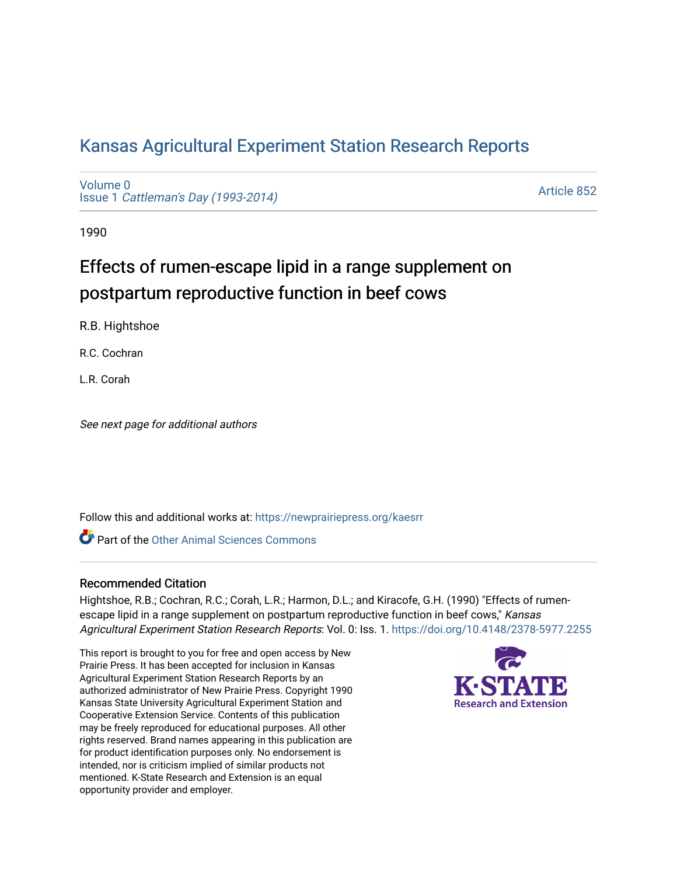# [Kansas Agricultural Experiment Station Research Reports](https://newprairiepress.org/kaesrr)

[Volume 0](https://newprairiepress.org/kaesrr/vol0) Issue 1 [Cattleman's Day \(1993-2014\)](https://newprairiepress.org/kaesrr/vol0/iss1) 

[Article 852](https://newprairiepress.org/kaesrr/vol0/iss1/852) 

1990

# Effects of rumen-escape lipid in a range supplement on postpartum reproductive function in beef cows

R.B. Hightshoe

R.C. Cochran

L.R. Corah

See next page for additional authors

Follow this and additional works at: [https://newprairiepress.org/kaesrr](https://newprairiepress.org/kaesrr?utm_source=newprairiepress.org%2Fkaesrr%2Fvol0%2Fiss1%2F852&utm_medium=PDF&utm_campaign=PDFCoverPages) 

**C** Part of the [Other Animal Sciences Commons](http://network.bepress.com/hgg/discipline/82?utm_source=newprairiepress.org%2Fkaesrr%2Fvol0%2Fiss1%2F852&utm_medium=PDF&utm_campaign=PDFCoverPages)

## Recommended Citation

Hightshoe, R.B.; Cochran, R.C.; Corah, L.R.; Harmon, D.L.; and Kiracofe, G.H. (1990) "Effects of rumenescape lipid in a range supplement on postpartum reproductive function in beef cows," Kansas Agricultural Experiment Station Research Reports: Vol. 0: Iss. 1.<https://doi.org/10.4148/2378-5977.2255>

This report is brought to you for free and open access by New Prairie Press. It has been accepted for inclusion in Kansas Agricultural Experiment Station Research Reports by an authorized administrator of New Prairie Press. Copyright 1990 Kansas State University Agricultural Experiment Station and Cooperative Extension Service. Contents of this publication may be freely reproduced for educational purposes. All other rights reserved. Brand names appearing in this publication are for product identification purposes only. No endorsement is intended, nor is criticism implied of similar products not mentioned. K-State Research and Extension is an equal opportunity provider and employer.

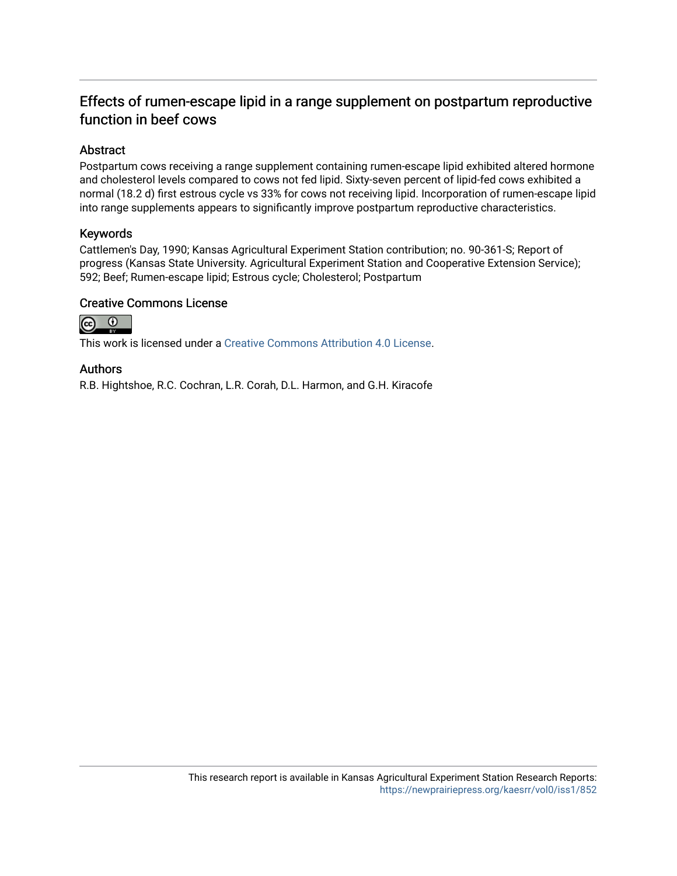# Effects of rumen-escape lipid in a range supplement on postpartum reproductive function in beef cows

## Abstract

Postpartum cows receiving a range supplement containing rumen-escape lipid exhibited altered hormone and cholesterol levels compared to cows not fed lipid. Sixty-seven percent of lipid-fed cows exhibited a normal (18.2 d) first estrous cycle vs 33% for cows not receiving lipid. Incorporation of rumen-escape lipid into range supplements appears to significantly improve postpartum reproductive characteristics.

## Keywords

Cattlemen's Day, 1990; Kansas Agricultural Experiment Station contribution; no. 90-361-S; Report of progress (Kansas State University. Agricultural Experiment Station and Cooperative Extension Service); 592; Beef; Rumen-escape lipid; Estrous cycle; Cholesterol; Postpartum

#### Creative Commons License



This work is licensed under a [Creative Commons Attribution 4.0 License](https://creativecommons.org/licenses/by/4.0/).

#### Authors

R.B. Hightshoe, R.C. Cochran, L.R. Corah, D.L. Harmon, and G.H. Kiracofe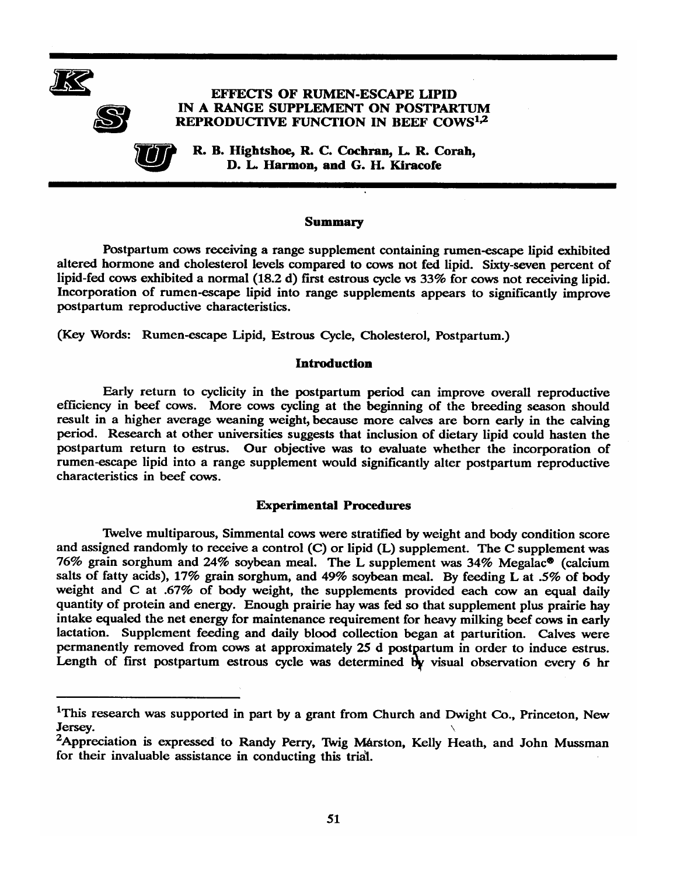



R. B. Hightshoe, R. C. Cochran, L. R. Corah, D. L. Harmon, and G. H. Kiracofe

#### **Summary**

Postpartum cows receiving a range supplement containing rumen-escape lipid exhibited altered hormone and cholesterol levels compared to cows not fed lipid. Sixty-seven percent of lipid-fed cows exhibited a normal (18.2 d) first estrous cycle vs 33% for cows not receiving lipid. Incorporation of rumen-escape lipid into range supplements appears to significantly improve postpartum reproductive characteristics.

(Key Words: Rumen-escape Lipid, Estrous Cycle, Cholesterol, Postpartum.)

#### **Introduction**

Early return to cyclicity in the postpartum period can improve overall reproductive efficiency in beef cows. More cows cycling at the beginning of the breeding season should result in a higher average weaning weight, because more calves are born early in the calving period. Research at other universities suggests that inclusion of dietary lipid could hasten the postpartum return to estrus. Our objective was to evaluate whether the incorporation of rumen-escape lipid into a range supplement would significantly alter postpartum reproductive characteristics in beef cows.

#### **Experimental Procedures**

Twelve multiparous, Simmental cows were stratified by weight and body condition score and assigned randomly to receive a control (C) or lipid (L) supplement. The C supplement was 76% grain sorghum and 24% soybean meal. The L supplement was 34% Megalac<sup>®</sup> (calcium salts of fatty acids), 17% grain sorghum, and 49% soybean meal. By feeding L at .5% of body weight and C at .67% of body weight, the supplements provided each cow an equal daily quantity of protein and energy. Enough prairie hay was fed so that supplement plus prairie hay intake equaled the net energy for maintenance requirement for heavy milking beef cows in early lactation. Supplement feeding and daily blood collection began at parturition. Calves were permanently removed from cows at approximately 25 d postpartum in order to induce estrus. Length of first postpartum estrous cycle was determined by visual observation every 6 hr

<sup>&</sup>lt;sup>1</sup>This research was supported in part by a grant from Church and Dwight Co., Princeton, New Jersey.

<sup>&</sup>lt;sup>2</sup>Appreciation is expressed to Randy Perry, Twig Marston, Kelly Heath, and John Mussman for their invaluable assistance in conducting this trial.